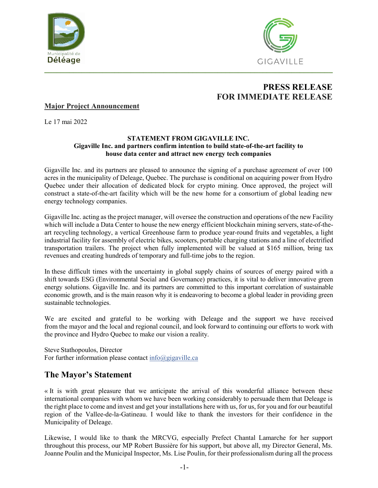



# **PRESS RELEASE FOR IMMEDIATE RELEASE**

### **Major Project Announcement**

Le 17 mai 2022

#### **STATEMENT FROM GIGAVILLE INC. Gigaville Inc. and partners confirm intention to build state-of-the-art facility to house data center and attract new energy tech companies**

Gigaville Inc. and its partners are pleased to announce the signing of a purchase agreement of over 100 acres in the municipality of Deleage, Quebec. The purchase is conditional on acquiring power from Hydro Quebec under their allocation of dedicated block for crypto mining. Once approved, the project will construct a state-of-the-art facility which will be the new home for a consortium of global leading new energy technology companies.

Gigaville Inc. acting as the project manager, will oversee the construction and operations of the new Facility which will include a Data Center to house the new energy efficient blockchain mining servers, state-of-theart recycling technology, a vertical Greenhouse farm to produce year-round fruits and vegetables, a light industrial facility for assembly of electric bikes, scooters, portable charging stations and a line of electrified transportation trailers. The project when fully implemented will be valued at \$165 million, bring tax revenues and creating hundreds of temporary and full-time jobs to the region.

In these difficult times with the uncertainty in global supply chains of sources of energy paired with a shift towards ESG (Environmental Social and Governance) practices, it is vital to deliver innovative green energy solutions. Gigaville Inc. and its partners are committed to this important correlation of sustainable economic growth, and is the main reason why it is endeavoring to become a global leader in providing green sustainable technologies.

We are excited and grateful to be working with Deleage and the support we have received from the mayor and the local and regional council, and look forward to continuing our efforts to work with the province and Hydro Quebec to make our vision a reality.

Steve Stathopoulos, Director For further information please contact [info@gigaville.ca](mailto:info@gigaville.ca)

## **The Mayor's Statement**

« It is with great pleasure that we anticipate the arrival of this wonderful alliance between these international companies with whom we have been working considerably to persuade them that Deleage is the right place to come and invest and get your installations here with us, for us, for you and for our beautiful region of the Vallee-de-la-Gatineau. I would like to thank the investors for their confidence in the Municipality of Deleage.

Likewise, I would like to thank the MRCVG, especially Prefect Chantal Lamarche for her support throughout this process, our MP Robert Bussière for his support, but above all, my Director General, Ms. Joanne Poulin and the Municipal Inspector, Ms. Lise Poulin, for their professionalism during all the process